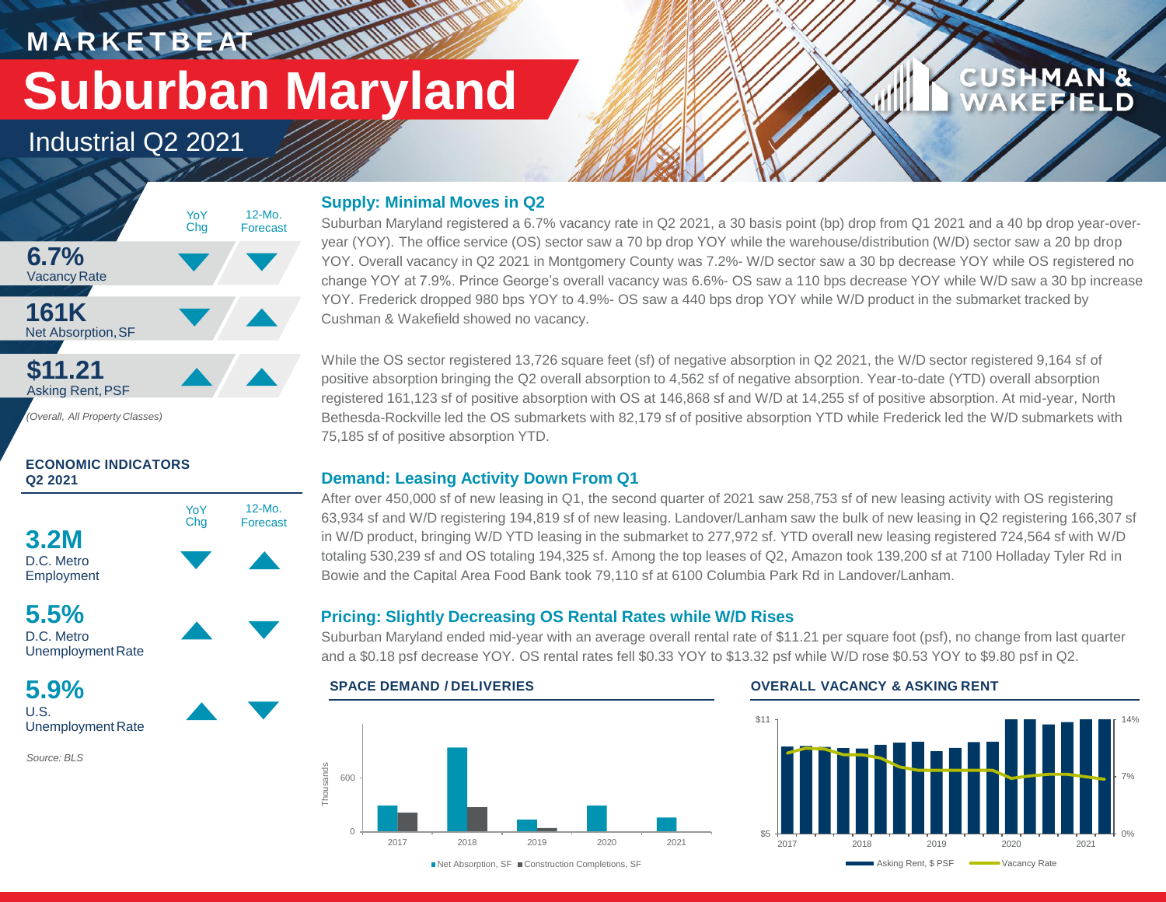**M A R K E T B E AT Suburban Maryland**

Industrial Q2 2021



*(Overall, All Property Classes)*

## **ECONOMIC INDICATORS Q2 2021**



**5.5%** D.C. Metro UnemploymentRate

**5.9%** U.S. Unemployment Rate

*Source: BLS*

## **Supply: Minimal Moves in Q2**

**WALLAND** 

Suburban Maryland registered a 6.7% vacancy rate in Q2 2021, a 30 basis point (bp) drop from Q1 2021 and a 40 bp drop year-overyear (YOY). The office service (OS) sector saw a 70 bp drop YOY while the warehouse/distribution (W/D) sector saw a 20 bp drop YOY. Overall vacancy in Q2 2021 in Montgomery County was 7.2%- W/D sector saw a 30 bp decrease YOY while OS registered no change YOY at 7.9%. Prince George's overall vacancy was 6.6%- OS saw a 110 bps decrease YOY while W/D saw a 30 bp increase YOY. Frederick dropped 980 bps YOY to 4.9%- OS saw a 440 bps drop YOY while W/D product in the submarket tracked by Cushman & Wakefield showed no vacancy.

While the OS sector registered 13,726 square feet (sf) of negative absorption in Q2 2021, the W/D sector registered 9,164 sf of positive absorption bringing the Q2 overall absorption to 4,562 sf of negative absorption. Year-to-date (YTD) overall absorption registered 161,123 sf of positive absorption with OS at 146,868 sf and W/D at 14,255 sf of positive absorption. At mid-year, North Bethesda-Rockville led the OS submarkets with 82,179 sf of positive absorption YTD while Frederick led the W/D submarkets with 75,185 sf of positive absorption YTD.

## **Demand: Leasing Activity Down From Q1**

After over 450,000 sf of new leasing in Q1, the second quarter of 2021 saw 258,753 sf of new leasing activity with OS registering 63,934 sf and W/D registering 194,819 sf of new leasing. Landover/Lanham saw the bulk of new leasing in Q2 registering 166,307 sf in W/D product, bringing W/D YTD leasing in the submarket to 277,972 sf. YTD overall new leasing registered 724,564 sf with W/D totaling 530,239 sf and OS totaling 194,325 sf. Among the top leases of Q2, Amazon took 139,200 sf at 7100 Holladay Tyler Rd in Bowie and the Capital Area Food Bank took 79,110 sf at 6100 Columbia Park Rd in Landover/Lanham.

## **Pricing: Slightly Decreasing OS Rental Rates while W/D Rises**

Suburban Maryland ended mid-year with an average overall rental rate of \$11.21 per square foot (psf), no change from last quarter and a \$0.18 psf decrease YOY. OS rental rates fell \$0.33 YOY to \$13.32 psf while W/D rose \$0.53 YOY to \$9.80 psf in Q2.



## **SPACE DEMAND / DELIVERIES OVERALL VACANCY & ASKING RENT**



**CUSHMAN &** 

FFIEI D